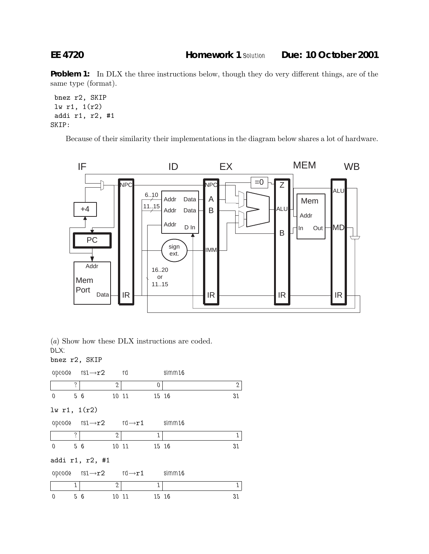**Problem 1:** In DLX the three instructions below, though they do very different things, are of the same type (format).

```
bnez r2, SKIP
lw r1, 1(r2)
addi r1, r2, #1
SKIP:
```
Because of their similarity their implementations in the diagram below shares a lot of hardware.



(a) Show how these DLX instructions are coded.

*DLX:* bnez r2, SKIP

|                          |     | opcode $rs1 \rightarrow r2$ rd |                |                                                        |          | simm16 |              |  |
|--------------------------|-----|--------------------------------|----------------|--------------------------------------------------------|----------|--------|--------------|--|
|                          | ?   |                                | $\mathfrak{2}$ |                                                        | $\theta$ |        | $\mathbf{2}$ |  |
| $\overline{0}$<br>$5\,6$ |     |                                |                | 10 11<br>15 16                                         |          |        | 31           |  |
| lw r1, 1(r2)             |     |                                |                |                                                        |          |        |              |  |
|                          |     |                                |                | opeode $rs1 \rightarrow r2$ $rd \rightarrow r1$ simm16 |          |        |              |  |
|                          | ?   |                                | $\mathfrak{2}$ |                                                        | 1        |        | 1            |  |
| $\mathbf{0}$<br>$5\,6$   |     |                                |                | 10 11<br>15 16                                         |          |        | 31           |  |
| addi r1, r2, #1          |     |                                |                |                                                        |          |        |              |  |
|                          |     |                                |                | opcode $rs1 \rightarrow r2$ $rd \rightarrow r1$ simm16 |          |        |              |  |
|                          | 1   |                                | $\mathbf{2}$   |                                                        | 1        |        | 1            |  |
| $\mathbf{0}$             | 5 6 |                                | 10 11          |                                                        | 15 16    |        | 31           |  |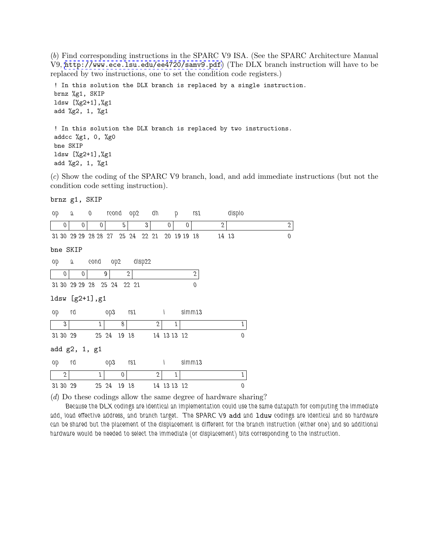(b) Find corresponding instructions in the SPARC V9 ISA. (See the SPARC Architecture Manual V9, <http://www.ece.lsu.edu/ee4720/samv9.pdf>) (The DLX branch instruction will have to be replaced by two instructions, one to set the condition code registers.)

! In this solution the DLX branch is replaced by a single instruction. brnz %g1, SKIP ldsw [%g2+1],%g1 add %g2, 1, %g1 ! In this solution the DLX branch is replaced by two instructions. addcc %g1, 0, %g0 bne SKIP ldsw [%g2+1],%g1

add %g2, 1, %g1

(c) Show the coding of the SPARC V9 branch, load, and add immediate instructions (but not the condition code setting instruction).

## brnz g1, SKIP

| 90              | J           | $\boldsymbol{0}$ |                                  |              | reond op2 dh          |                | p           | r s1         |              | displo   |              |
|-----------------|-------------|------------------|----------------------------------|--------------|-----------------------|----------------|-------------|--------------|--------------|----------|--------------|
| 0               | $\mathbf 0$ | $\mathbf 0$      |                                  | 5            | 3 <sup>1</sup>        | $\overline{0}$ | $\theta$    |              | $\mathbf{2}$ |          | $\mathbf{2}$ |
|                 |             |                  | 31 30 29 29 28 28 27 25 24 22 21 |              |                       |                | 20 19 19 18 |              | 14 13        |          | $\theta$     |
| bne SKIP        |             |                  |                                  |              |                       |                |             |              |              |          |              |
| qo              | a           |                  | cond op2 disp22                  |              |                       |                |             |              |              |          |              |
| $\overline{0}$  | $\mathbf 0$ |                  | 9                                | $\mathbf{2}$ |                       |                |             | $\mathbf{2}$ |              |          |              |
|                 |             |                  | 31 30 29 29 28 25 24 22 21       |              |                       |                |             | $\theta$     |              |          |              |
| ldsw [g2+1], g1 |             |                  |                                  |              |                       |                |             |              |              |          |              |
| 90              | 1q          |                  | op3                              |              | $rs1$ i               |                |             | simm13       |              |          |              |
| 3               |             | 1                | 8                                |              | $\mathbf{2}$          |                | 1           |              |              |          |              |
| 31 30 29        |             |                  | 25 24 19 18                      |              |                       |                | 14 13 13 12 |              |              | $\theta$ |              |
| add g2, 1, g1   |             |                  |                                  |              |                       |                |             |              |              |          |              |
| 90              | rd          |                  | op3                              | rs1          | $\mathbf{I}$          |                |             | simm13       |              |          |              |
| $\mathbf{2}$    |             | 1                | $\overline{0}$                   |              | $\mathbf{2}^{\prime}$ |                | 1           |              |              | 1        |              |
| 31 30 29        |             |                  | 25 24                            | 19 18        |                       |                | 14 13 13 12 |              |              | $\Omega$ |              |

(d) Do these codings allow the same degree of hardware sharing?

*Because the DLX codings are identical an implementation could use the same datapath for computing the immediate add, load effective address, and branch target. The SPARC V9* add *and* lduw *codings are identical and so hardware can be shared but the placement of the displacement is different for the branch instruction (either one) and so additional hardware would be needed to select the immediate (or displacement) bits corresponding to the instruction.*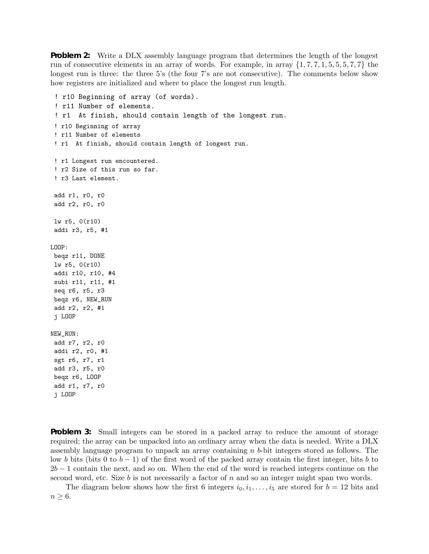**Problem 2:** Write a DLX assembly language program that determines the length of the longest run of consecutive elements in an array of words. For example, in array  $\{1, 7, 7, 1, 5, 5, 5, 7, 7\}$  the longest run is three: the three 5's (the four 7's are not consecutive). The comments below show how registers are initialized and where to place the longest run length.

```
! r10 Beginning of array (of words).
 ! r11 Number of elements.
 ! r1 At finish, should contain length of the longest run.
 ! r10 Beginning of array
 ! r11 Number of elements
 ! r1 At finish, should contain length of longest run.
 ! r1 Longest run encountered.
 ! r2 Size of this run so far.
 ! r3 Last element.
 add r1, r0, r0
 add r2, r0, r0
 lw r5, 0(r10)
 addi r3, r5, #1
LOOP:
beqz r11, DONE
lw r5, 0(r10)
addi r10, r10, #4
subi r11, r11, #1
seq r6, r5, r3
beqz r6, NEW_RUN
add r2, r2, #1
 j LOOP
NEW_RUN:
 add r7, r2, r0
addi r2, r0, #1
sgt r6, r7, r1
add r3, r5, r0
beqz r6, LOOP
add r1, r7, r0
 j LOOP
```
**Problem 3:** Small integers can be stored in a packed array to reduce the amount of storage required; the array can be unpacked into an ordinary array when the data is needed. Write a DLX assembly language program to unpack an array containing n b-bit integers stored as follows. The low b bits (bits 0 to  $b-1$ ) of the first word of the packed array contain the first integer, bits b to  $2b-1$  contain the next, and so on. When the end of the word is reached integers continue on the second word, etc. Size  $b$  is not necessarily a factor of  $n$  and so an integer might span two words.

The diagram below shows how the first 6 integers  $i_0, i_1, \ldots, i_5$  are stored for  $b = 12$  bits and  $n \geq 6$ .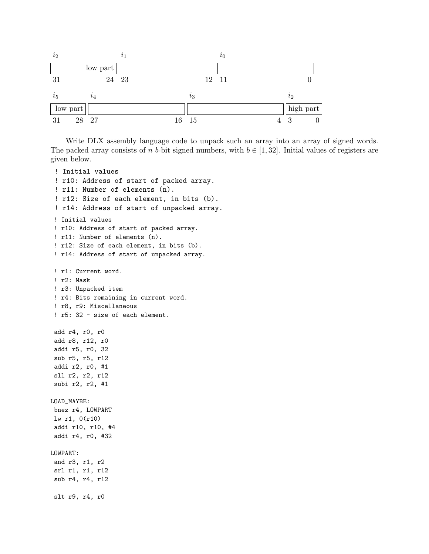

Write DLX assembly language code to unpack such an array into an array of signed words. The packed array consists of n b-bit signed numbers, with  $b \in [1, 32]$ . Initial values of registers are given below.

```
! Initial values
 ! r10: Address of start of packed array.
 ! r11: Number of elements (n).
 ! r12: Size of each element, in bits (b).
 ! r14: Address of start of unpacked array.
 ! Initial values
 ! r10: Address of start of packed array.
 ! r11: Number of elements (n).
 ! r12: Size of each element, in bits (b).
 ! r14: Address of start of unpacked array.
 ! r1: Current word.
 ! r2: Mask
 ! r3: Unpacked item
 ! r4: Bits remaining in current word.
 ! r8, r9: Miscellaneous
 ! r5: 32 - size of each element.
add r4, r0, r0
add r8, r12, r0
addi r5, r0, 32
sub r5, r5, r12
addi r2, r0, #1
sll r2, r2, r12
subi r2, r2, #1
LOAD_MAYBE:
bnez r4, LOWPART
lw r1, 0(r10)
addi r10, r10, #4
addi r4, r0, #32
LOWPART:
and r3, r1, r2
srl r1, r1, r12
sub r4, r4, r12
slt r9, r4, r0
```